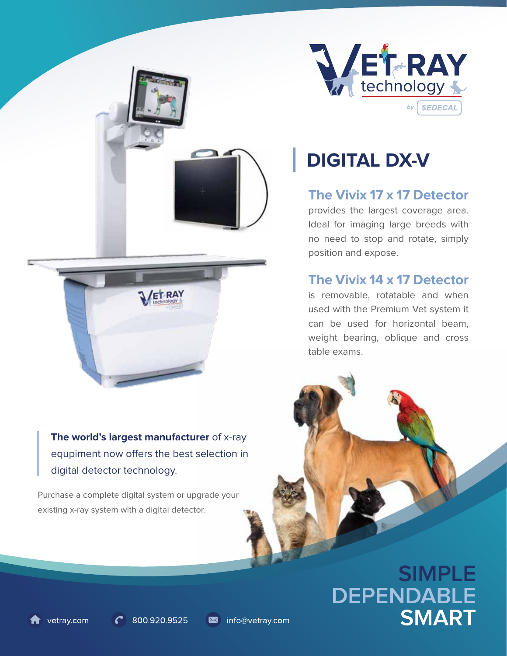

**The world's largest manufacturer** of x-ray equpiment now offers the best selection in digital detector technology.

Purchase a complete digital system or upgrade your existing x-ray system with a digital detector.



# **DIGITAL DX-V**

**The Vivix 17 x 17 Detector**

provides the largest coverage area. Ideal for imaging large breeds with no need to stop and rotate, simply position and expose.

### **The Vivix 14 x 17 Detector**

is removable, rotatable and when used with the Premium Vet system it can be used for horizontal beam, weight bearing, oblique and cross table exams.

# **SIMPLE** DEPENDABLE **SMART**

vetray.com

800.920.9525

info@vetray.com